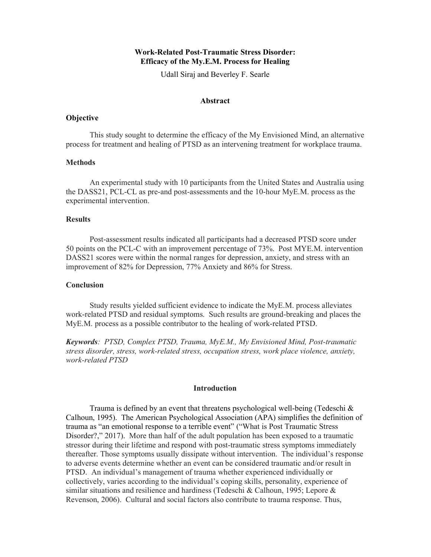# Work-Related Post-Traumatic Stress Disorder: Efficacy of the My.E.M. Process for Healing

Udall Siraj and Beverley F. Searle

## Abstract

### **Objective**

This study sought to determine the efficacy of the My Envisioned Mind, an alternative process for treatment and healing of PTSD as an intervening treatment for workplace trauma.

## **Methods**

An experimental study with 10 participants from the United States and Australia using the DASS21, PCL-CL as pre-and post-assessments and the 10-hour MyE.M. process as the experimental intervention.

### **Results**

Post-assessment results indicated all participants had a decreased PTSD score under 50 points on the PCL-C with an improvement percentage of 73%. Post MYE.M. intervention DASS21 scores were within the normal ranges for depression, anxiety, and stress with an improvement of 82% for Depression, 77% Anxiety and 86% for Stress.

#### **Conclusion**

Study results yielded sufficient evidence to indicate the MyE.M. process alleviates work-related PTSD and residual symptoms. Such results are ground-breaking and places the MyE.M. process as a possible contributor to the healing of work-related PTSD.

Keywords: PTSD, Complex PTSD, Trauma, MyE.M., My Envisioned Mind, Post-traumatic stress disorder, stress, work-related stress, occupation stress, work place violence, anxiety, work-related PTSD

#### **Introduction**

Trauma is defined by an event that threatens psychological well-being (Tedeschi & Calhoun, 1995). The American Psychological Association (APA) simplifies the definition of trauma as "an emotional response to a terrible event" ("What is Post Traumatic Stress Disorder?," 2017). More than half of the adult population has been exposed to a traumatic stressor during their lifetime and respond with post-traumatic stress symptoms immediately thereafter. Those symptoms usually dissipate without intervention. The individual's response to adverse events determine whether an event can be considered traumatic and/or result in PTSD. An individual's management of trauma whether experienced individually or collectively, varies according to the individual's coping skills, personality, experience of similar situations and resilience and hardiness (Tedeschi & Calhoun, 1995; Lepore  $\&$ Revenson, 2006). Cultural and social factors also contribute to trauma response. Thus,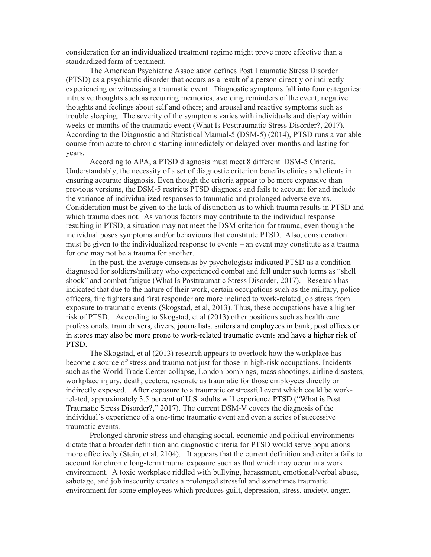consideration for an individualized treatment regime might prove more effective than a standardized form of treatment.

The American Psychiatric Association defines Post Traumatic Stress Disorder (PTSD) as a psychiatric disorder that occurs as a result of a person directly or indirectly experiencing or witnessing a traumatic event. Diagnostic symptoms fall into four categories: intrusive thoughts such as recurring memories, avoiding reminders of the event, negative thoughts and feelings about self and others; and arousal and reactive symptoms such as trouble sleeping. The severity of the symptoms varies with individuals and display within weeks or months of the traumatic event (What Is Posttraumatic Stress Disorder?, 2017). According to the Diagnostic and Statistical Manual-5 (DSM-5) (2014), PTSD runs a variable course from acute to chronic starting immediately or delayed over months and lasting for years.

According to APA, a PTSD diagnosis must meet 8 different DSM-5 Criteria. Understandably, the necessity of a set of diagnostic criterion benefits clinics and clients in ensuring accurate diagnosis. Even though the criteria appear to be more expansive than previous versions, the DSM-5 restricts PTSD diagnosis and fails to account for and include the variance of individualized responses to traumatic and prolonged adverse events. Consideration must be given to the lack of distinction as to which trauma results in PTSD and which trauma does not. As various factors may contribute to the individual response resulting in PTSD, a situation may not meet the DSM criterion for trauma, even though the individual poses symptoms and/or behaviours that constitute PTSD. Also, consideration must be given to the individualized response to events – an event may constitute as a trauma for one may not be a trauma for another.

In the past, the average consensus by psychologists indicated PTSD as a condition diagnosed for soldiers/military who experienced combat and fell under such terms as "shell shock" and combat fatigue (What Is Posttraumatic Stress Disorder, 2017). Research has indicated that due to the nature of their work, certain occupations such as the military, police officers, fire fighters and first responder are more inclined to work-related job stress from exposure to traumatic events (Skogstad, et al, 2013). Thus, these occupations have a higher risk of PTSD. According to Skogstad, et al (2013) other positions such as health care professionals, train drivers, divers, journalists, sailors and employees in bank, post offices or in stores may also be more prone to work-related traumatic events and have a higher risk of PTSD.

The Skogstad, et al (2013) research appears to overlook how the workplace has become a source of stress and trauma not just for those in high-risk occupations. Incidents such as the World Trade Center collapse, London bombings, mass shootings, airline disasters, workplace injury, death, ecetera, resonate as traumatic for those employees directly or indirectly exposed. After exposure to a traumatic or stressful event which could be workrelated, approximately 3.5 percent of U.S. adults will experience PTSD ("What is Post Traumatic Stress Disorder?," 2017). The current DSM-V covers the diagnosis of the individual's experience of a one-time traumatic event and even a series of successive traumatic events.

Prolonged chronic stress and changing social, economic and political environments dictate that a broader definition and diagnostic criteria for PTSD would serve populations more effectively (Stein, et al, 2104). It appears that the current definition and criteria fails to account for chronic long-term trauma exposure such as that which may occur in a work environment. A toxic workplace riddled with bullying, harassment, emotional/verbal abuse, sabotage, and job insecurity creates a prolonged stressful and sometimes traumatic environment for some employees which produces guilt, depression, stress, anxiety, anger,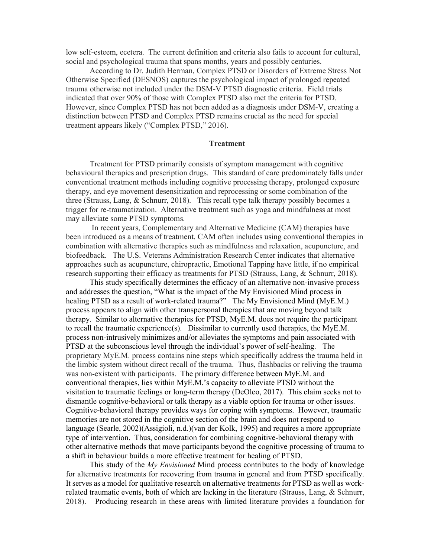low self-esteem, ecetera. The current definition and criteria also fails to account for cultural, social and psychological trauma that spans months, years and possibly centuries.

According to Dr. Judith Herman, Complex PTSD or Disorders of Extreme Stress Not Otherwise Specified (DESNOS) captures the psychological impact of prolonged repeated trauma otherwise not included under the DSM-V PTSD diagnostic criteria. Field trials indicated that over 90% of those with Complex PTSD also met the criteria for PTSD. However, since Complex PTSD has not been added as a diagnosis under DSM-V, creating a distinction between PTSD and Complex PTSD remains crucial as the need for special treatment appears likely ("Complex PTSD," 2016).

## **Treatment**

Treatment for PTSD primarily consists of symptom management with cognitive behavioural therapies and prescription drugs. This standard of care predominately falls under conventional treatment methods including cognitive processing therapy, prolonged exposure therapy, and eye movement desensitization and reprocessing or some combination of the three (Strauss, Lang, & Schnurr, 2018). This recall type talk therapy possibly becomes a trigger for re-traumatization. Alternative treatment such as yoga and mindfulness at most may alleviate some PTSD symptoms.

 In recent years, Complementary and Alternative Medicine (CAM) therapies have been introduced as a means of treatment. CAM often includes using conventional therapies in combination with alternative therapies such as mindfulness and relaxation, acupuncture, and biofeedback. The U.S. Veterans Administration Research Center indicates that alternative approaches such as acupuncture, chiropractic, Emotional Tapping have little, if no empirical research supporting their efficacy as treatments for PTSD (Strauss, Lang, & Schnurr, 2018).

This study specifically determines the efficacy of an alternative non-invasive process and addresses the question, "What is the impact of the My Envisioned Mind process in healing PTSD as a result of work-related trauma?" The My Envisioned Mind (MyE.M.) process appears to align with other transpersonal therapies that are moving beyond talk therapy. Similar to alternative therapies for PTSD, MyE.M. does not require the participant to recall the traumatic experience(s). Dissimilar to currently used therapies, the MyE.M. process non-intrusively minimizes and/or alleviates the symptoms and pain associated with PTSD at the subconscious level through the individual's power of self-healing. The proprietary MyE.M. process contains nine steps which specifically address the trauma held in the limbic system without direct recall of the trauma. Thus, flashbacks or reliving the trauma was non-existent with participants. The primary difference between MyE.M. and conventional therapies, lies within MyE.M.'s capacity to alleviate PTSD without the visitation to traumatic feelings or long-term therapy (DeOleo, 2017). This claim seeks not to dismantle cognitive-behavioral or talk therapy as a viable option for trauma or other issues. Cognitive-behavioral therapy provides ways for coping with symptoms. However, traumatic memories are not stored in the cognitive section of the brain and does not respond to language (Searle, 2002)(Assigioli, n.d.)(van der Kolk, 1995) and requires a more appropriate type of intervention. Thus, consideration for combining cognitive-behavioral therapy with other alternative methods that move participants beyond the cognitive processing of trauma to a shift in behaviour builds a more effective treatment for healing of PTSD.

This study of the My Envisioned Mind process contributes to the body of knowledge for alternative treatments for recovering from trauma in general and from PTSD specifically. It serves as a model for qualitative research on alternative treatments for PTSD as well as workrelated traumatic events, both of which are lacking in the literature (Strauss, Lang, & Schnurr, 2018). Producing research in these areas with limited literature provides a foundation for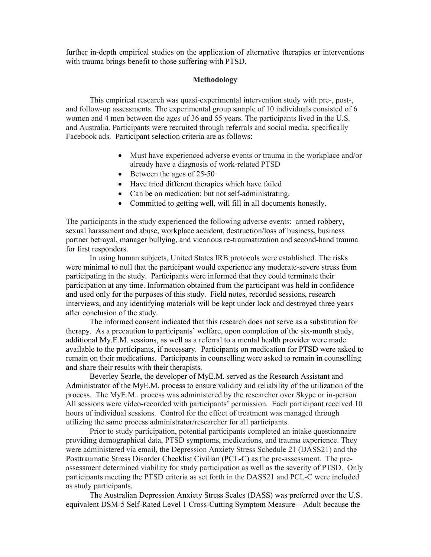further in-depth empirical studies on the application of alternative therapies or interventions with trauma brings benefit to those suffering with PTSD.

#### Methodology

 This empirical research was quasi-experimental intervention study with pre-, post-, and follow-up assessments. The experimental group sample of 10 individuals consisted of 6 women and 4 men between the ages of 36 and 55 years. The participants lived in the U.S. and Australia. Participants were recruited through referrals and social media, specifically Facebook ads. Participant selection criteria are as follows:

- Must have experienced adverse events or trauma in the workplace and/or already have a diagnosis of work-related PTSD
- $\bullet$  Between the ages of 25-50
- Have tried different therapies which have failed
- Can be on medication: but not self-administrating.
- Committed to getting well, will fill in all documents honestly.

The participants in the study experienced the following adverse events: armed robbery, sexual harassment and abuse, workplace accident, destruction/loss of business, business partner betrayal, manager bullying, and vicarious re-traumatization and second-hand trauma for first responders.

In using human subjects, United States IRB protocols were established. The risks were minimal to null that the participant would experience any moderate-severe stress from participating in the study. Participants were informed that they could terminate their participation at any time. Information obtained from the participant was held in confidence and used only for the purposes of this study. Field notes, recorded sessions, research interviews, and any identifying materials will be kept under lock and destroyed three years after conclusion of the study.

The informed consent indicated that this research does not serve as a substitution for therapy. As a precaution to participants' welfare, upon completion of the six-month study, additional My.E.M. sessions, as well as a referral to a mental health provider were made available to the participants, if necessary. Participants on medication for PTSD were asked to remain on their medications. Participants in counselling were asked to remain in counselling and share their results with their therapists.

Beverley Searle, the developer of MyE.M. served as the Research Assistant and Administrator of the MyE.M. process to ensure validity and reliability of the utilization of the process. The MyE.M.. process was administered by the researcher over Skype or in-person All sessions were video-recorded with participants' permission. Each participant received 10 hours of individual sessions. Control for the effect of treatment was managed through utilizing the same process administrator/researcher for all participants.

Prior to study participation, potential participants completed an intake questionnaire providing demographical data, PTSD symptoms, medications, and trauma experience. They were administered via email, the Depression Anxiety Stress Schedule 21 (DASS21) and the Posttraumatic Stress Disorder Checklist Civilian (PCL-C) as the pre-assessment. The preassessment determined viability for study participation as well as the severity of PTSD. Only participants meeting the PTSD criteria as set forth in the DASS21 and PCL-C were included as study participants.

The Australian Depression Anxiety Stress Scales (DASS) was preferred over the U.S. equivalent DSM-5 Self-Rated Level 1 Cross-Cutting Symptom Measure—Adult because the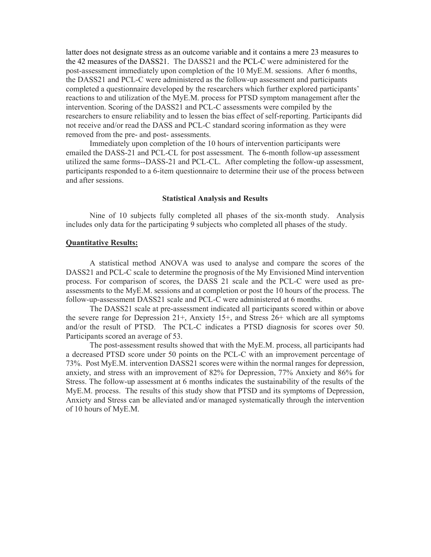latter does not designate stress as an outcome variable and it contains a mere 23 measures to the 42 measures of the DASS21. The DASS21 and the PCL-C were administered for the post-assessment immediately upon completion of the 10 MyE.M. sessions. After 6 months, the DASS21 and PCL-C were administered as the follow-up assessment and participants completed a questionnaire developed by the researchers which further explored participants' reactions to and utilization of the MyE.M. process for PTSD symptom management after the intervention. Scoring of the DASS21 and PCL-C assessments were compiled by the researchers to ensure reliability and to lessen the bias effect of self-reporting. Participants did not receive and/or read the DASS and PCL-C standard scoring information as they were removed from the pre- and post- assessments.

Immediately upon completion of the 10 hours of intervention participants were emailed the DASS-21 and PCL-CL for post assessment. The 6-month follow-up assessment utilized the same forms--DASS-21 and PCL-CL. After completing the follow-up assessment, participants responded to a 6-item questionnaire to determine their use of the process between and after sessions.

### Statistical Analysis and Results

Nine of 10 subjects fully completed all phases of the six-month study. Analysis includes only data for the participating 9 subjects who completed all phases of the study.

## Quantitative Results:

A statistical method ANOVA was used to analyse and compare the scores of the DASS21 and PCL-C scale to determine the prognosis of the My Envisioned Mind intervention process. For comparison of scores, the DASS 21 scale and the PCL-C were used as preassessments to the MyE.M. sessions and at completion or post the 10 hours of the process. The follow-up-assessment DASS21 scale and PCL-C were administered at 6 months.

The DASS21 scale at pre-assessment indicated all participants scored within or above the severe range for Depression 21+, Anxiety 15+, and Stress 26+ which are all symptoms and/or the result of PTSD. The PCL-C indicates a PTSD diagnosis for scores over 50. Participants scored an average of 53.

The post-assessment results showed that with the MyE.M. process, all participants had a decreased PTSD score under 50 points on the PCL-C with an improvement percentage of 73%. Post MyE.M. intervention DASS21 scores were within the normal ranges for depression, anxiety, and stress with an improvement of 82% for Depression, 77% Anxiety and 86% for Stress. The follow-up assessment at 6 months indicates the sustainability of the results of the MyE.M. process. The results of this study show that PTSD and its symptoms of Depression, Anxiety and Stress can be alleviated and/or managed systematically through the intervention of 10 hours of MyE.M.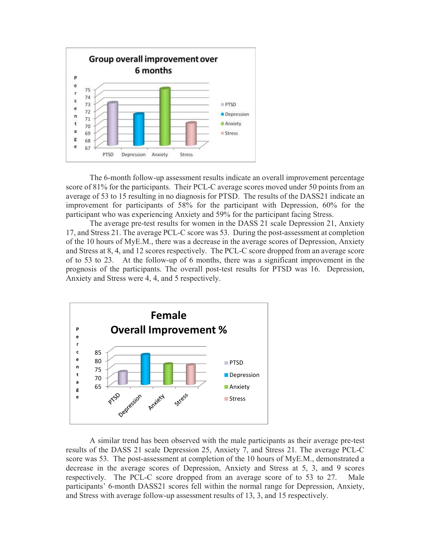

The 6-month follow-up assessment results indicate an overall improvement percentage score of 81% for the participants. Their PCL-C average scores moved under 50 points from an average of 53 to 15 resulting in no diagnosis for PTSD. The results of the DASS21 indicate an improvement for participants of 58% for the participant with Depression, 60% for the participant who was experiencing Anxiety and 59% for the participant facing Stress.

The average pre-test results for women in the DASS 21 scale Depression 21, Anxiety 17, and Stress 21. The average PCL-C score was 53. During the post-assessment at completion of the 10 hours of MyE.M., there was a decrease in the average scores of Depression, Anxiety and Stress at 8, 4, and 12 scores respectively. The PCL-C score dropped from an average score of to 53 to 23. At the follow-up of 6 months, there was a significant improvement in the prognosis of the participants. The overall post-test results for PTSD was 16. Depression, Anxiety and Stress were 4, 4, and 5 respectively.



 A similar trend has been observed with the male participants as their average pre-test results of the DASS 21 scale Depression 25, Anxiety 7, and Stress 21. The average PCL-C score was 53. The post-assessment at completion of the 10 hours of MyE.M., demonstrated a decrease in the average scores of Depression, Anxiety and Stress at 5, 3, and 9 scores respectively. The PCL-C score dropped from an average score of to 53 to 27. Male participants' 6-month DASS21 scores fell within the normal range for Depression, Anxiety, and Stress with average follow-up assessment results of 13, 3, and 15 respectively.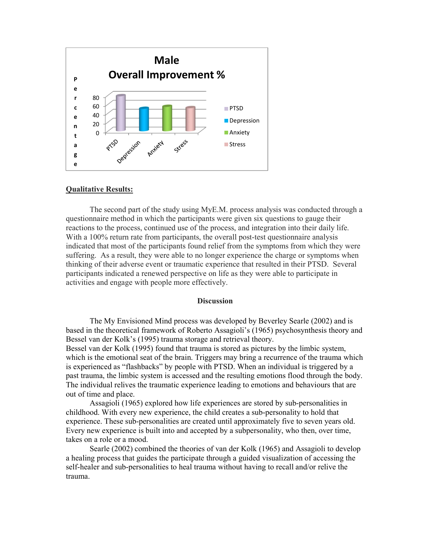

### Qualitative Results:

The second part of the study using MyE.M. process analysis was conducted through a questionnaire method in which the participants were given six questions to gauge their reactions to the process, continued use of the process, and integration into their daily life. With a 100% return rate from participants, the overall post-test questionnaire analysis indicated that most of the participants found relief from the symptoms from which they were suffering. As a result, they were able to no longer experience the charge or symptoms when thinking of their adverse event or traumatic experience that resulted in their PTSD. Several participants indicated a renewed perspective on life as they were able to participate in activities and engage with people more effectively.

#### **Discussion**

The My Envisioned Mind process was developed by Beverley Searle (2002) and is based in the theoretical framework of Roberto Assagioli's (1965) psychosynthesis theory and Bessel van der Kolk's (1995) trauma storage and retrieval theory.

Bessel van der Kolk (1995) found that trauma is stored as pictures by the limbic system, which is the emotional seat of the brain. Triggers may bring a recurrence of the trauma which is experienced as "flashbacks" by people with PTSD. When an individual is triggered by a past trauma, the limbic system is accessed and the resulting emotions flood through the body. The individual relives the traumatic experience leading to emotions and behaviours that are out of time and place.

Assagioli (1965) explored how life experiences are stored by sub-personalities in childhood. With every new experience, the child creates a sub-personality to hold that experience. These sub-personalities are created until approximately five to seven years old. Every new experience is built into and accepted by a subpersonality, who then, over time, takes on a role or a mood.

Searle (2002) combined the theories of van der Kolk (1965) and Assagioli to develop a healing process that guides the participate through a guided visualization of accessing the self-healer and sub-personalities to heal trauma without having to recall and/or relive the trauma.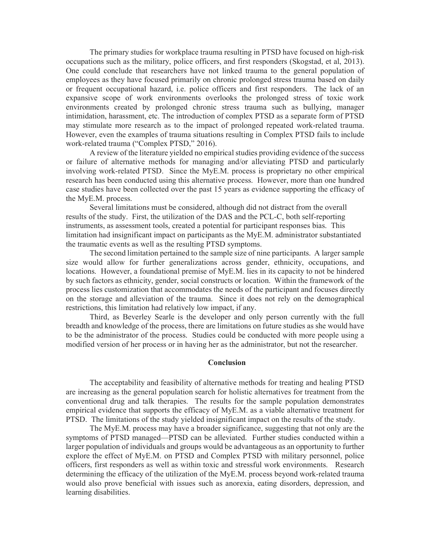The primary studies for workplace trauma resulting in PTSD have focused on high-risk occupations such as the military, police officers, and first responders (Skogstad, et al, 2013). One could conclude that researchers have not linked trauma to the general population of employees as they have focused primarily on chronic prolonged stress trauma based on daily or frequent occupational hazard, i.e. police officers and first responders. The lack of an expansive scope of work environments overlooks the prolonged stress of toxic work environments created by prolonged chronic stress trauma such as bullying, manager intimidation, harassment, etc. The introduction of complex PTSD as a separate form of PTSD may stimulate more research as to the impact of prolonged repeated work-related trauma. However, even the examples of trauma situations resulting in Complex PTSD fails to include work-related trauma ("Complex PTSD," 2016).

A review of the literature yielded no empirical studies providing evidence of the success or failure of alternative methods for managing and/or alleviating PTSD and particularly involving work-related PTSD. Since the MyE.M. process is proprietary no other empirical research has been conducted using this alternative process. However, more than one hundred case studies have been collected over the past 15 years as evidence supporting the efficacy of the MyE.M. process.

 Several limitations must be considered, although did not distract from the overall results of the study. First, the utilization of the DAS and the PCL-C, both self-reporting instruments, as assessment tools, created a potential for participant responses bias. This limitation had insignificant impact on participants as the MyE.M. administrator substantiated the traumatic events as well as the resulting PTSD symptoms.

The second limitation pertained to the sample size of nine participants. A larger sample size would allow for further generalizations across gender, ethnicity, occupations, and locations. However, a foundational premise of MyE.M. lies in its capacity to not be hindered by such factors as ethnicity, gender, social constructs or location. Within the framework of the process lies customization that accommodates the needs of the participant and focuses directly on the storage and alleviation of the trauma. Since it does not rely on the demographical restrictions, this limitation had relatively low impact, if any.

Third, as Beverley Searle is the developer and only person currently with the full breadth and knowledge of the process, there are limitations on future studies as she would have to be the administrator of the process. Studies could be conducted with more people using a modified version of her process or in having her as the administrator, but not the researcher.

#### Conclusion

The acceptability and feasibility of alternative methods for treating and healing PTSD are increasing as the general population search for holistic alternatives for treatment from the conventional drug and talk therapies. The results for the sample population demonstrates empirical evidence that supports the efficacy of MyE.M. as a viable alternative treatment for PTSD. The limitations of the study yielded insignificant impact on the results of the study.

The MyE.M. process may have a broader significance, suggesting that not only are the symptoms of PTSD managed—PTSD can be alleviated. Further studies conducted within a larger population of individuals and groups would be advantageous as an opportunity to further explore the effect of MyE.M. on PTSD and Complex PTSD with military personnel, police officers, first responders as well as within toxic and stressful work environments. Research determining the efficacy of the utilization of the MyE.M. process beyond work-related trauma would also prove beneficial with issues such as anorexia, eating disorders, depression, and learning disabilities.